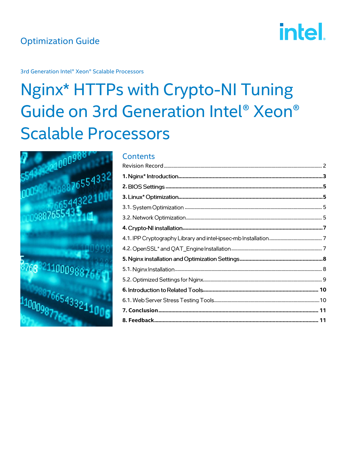## **Optimization Guide**

# **intel**

3rd Generation Intel® Xeon® Scalable Processors

## Nginx\* HTTPs with Crypto-NI Tuning Guide on 3rd Generation Intel® Xeon® **Scalable Processors**



#### **Contents**

| 4.1. IPP Cryptography Library and intel-ipsec-mb Installation…………………………………………………… |  |
|-----------------------------------------------------------------------------------|--|
|                                                                                   |  |
|                                                                                   |  |
|                                                                                   |  |
|                                                                                   |  |
|                                                                                   |  |
|                                                                                   |  |
|                                                                                   |  |
|                                                                                   |  |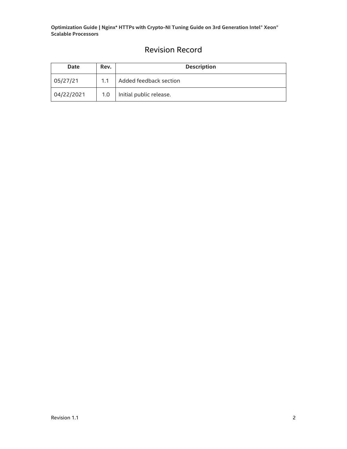## Revision Record

<span id="page-1-0"></span>

| <b>Date</b> | Rev.             | <b>Description</b>      |  |  |
|-------------|------------------|-------------------------|--|--|
| 05/27/21    | 1.1              | Added feedback section  |  |  |
| 04/22/2021  | 1.0 <sub>1</sub> | Initial public release. |  |  |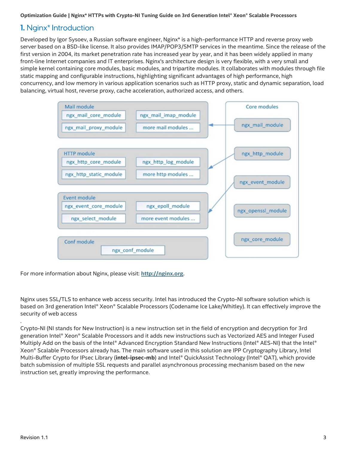## <span id="page-2-0"></span>**1.** Nginx<sup>\*</sup> Introduction

Developed by Igor Sysoev, a Russian software engineer, Nginx\* is a high-performance HTTP and reverse proxy web server based on a BSD-like license. It also provides IMAP/POP3/SMTP services in the meantime. Since the release of the first version in 2004, its market penetration rate has increased year by year, and it has been widely applied in many front-line Internet companies and IT enterprises. Nginx's architecture design is very flexible, with a very small and simple kernel containing core modules, basic modules, and tripartite modules. It collaborates with modules through file static mapping and configurable instructions, highlighting significant advantages of high performance, high concurrency, and low memory in various application scenarios such as HTTP proxy, static and dynamic separation, load balancing, virtual host, reverse proxy, cache acceleration, authorized access, and others.



For more information about Nginx, please visit: **[http://nginx.org](http://nginx.org/)**.

Nginx uses SSL/TLS to enhance web access security. Intel has introduced the Crypto-NI software solution which is based on 3rd generation Intel® Xeon® Scalable Processors (Codename Ice Lake/Whitley). It can effectively improve the security of web access

Crypto-NI (NI stands for New Instruction) is a new instruction set in the field of encryption and decryption for 3rd generation Intel® Xeon® Scalable Processors and it adds new instructions such as Vectorized AES and Integer Fused Multiply Add on the basis of the Intel® Advanced Encryption Standard New Instructions (Intel® AES-NI) that the Intel® Xeon® Scalable Processors already has. The main software used in this solution are IPP Cryptography Library, Intel Multi-Buffer Crypto for IPsec Library (**intel-ipsec-mb**) and Intel® QuickAssist Technology (Intel® QAT), which provide batch submission of multiple SSL requests and parallel asynchronous processing mechanism based on the new instruction set, greatly improving the performance.

.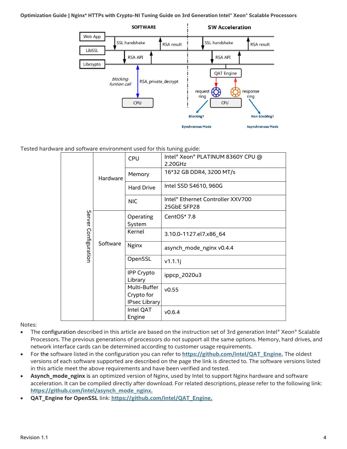

Tested hardware and software environment used for this tuning guide:

| Server Configuration | Hardware | <b>CPU</b>                   | Intel® Xeon® PLATINUM 8360Y CPU @<br>2.20GHz     |
|----------------------|----------|------------------------------|--------------------------------------------------|
|                      |          | Memory                       | 16*32 GB DDR4, 3200 MT/s                         |
|                      |          | <b>Hard Drive</b>            | Intel SSD S4610, 960G                            |
|                      |          | <b>NIC</b>                   | Intel® Ethernet Controller XXV700<br>25GbE SFP28 |
|                      | Software | Operating<br>System          | CentOS* 7.8                                      |
|                      |          | Kernel                       | 3.10.0-1127.el7.x86_64                           |
|                      |          | <b>Nginx</b>                 | asynch_mode_nginx v0.4.4                         |
|                      |          | OpenSSL                      | v1.1.1j                                          |
|                      |          | <b>IPP Crypto</b><br>Library | ippcp_2020u3                                     |
|                      |          | Multi-Buffer<br>Crypto for   | v0.55                                            |
|                      |          | <b>IPsec Library</b>         |                                                  |
|                      |          | Intel QAT<br>Engine          | V0.6.4                                           |

Notes:

- The configuration described in this article are based on the instruction set of 3rd generation Intel® Xeon® Scalable Processors. The previous generations of processors do not support all the same options. Memory, hard drives, and network interface cards can be determined according to customer usage requirements.
- For the software listed in the configuration you can refer to **[https://github.com/intel/QAT\\_Engine.](https://github.com/intel/QAT_Engine)** The oldest versions of each software supported are described on the page the link is directed to. The software versions listed in this article meet the above requirements and have been verified and tested.
- **Asynch\_mode\_nginx** is an optimized version of Nginx, used by Intel to support Nginx hardware and software acceleration. It can be compiled directly after download. For related descriptions, please refer to the following link: **[https://github.com/intel/asynch\\_mode\\_nginx.](https://github.com/intel/asynch_mode_nginx)**
- **QAT\_Engine for OpenSSL** link: **[https://github.com/intel/QAT\\_Engine.](https://github.com/intel/QAT_Engine)**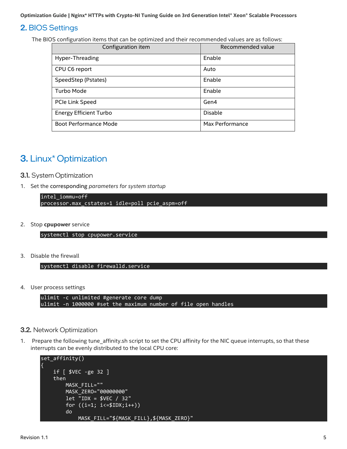## <span id="page-4-0"></span>2. BIOS Settings

The BIOS configuration items that can be optimized and their recommended values are as follows:

| Configuration item            | Recommended value |
|-------------------------------|-------------------|
| Hyper-Threading               | Enable            |
| CPU C6 report                 | Auto              |
| SpeedStep (Pstates)           | Enable            |
| Turbo Mode                    | Enable            |
| PCIe Link Speed               | Gen4              |
| <b>Energy Efficient Turbo</b> | <b>Disable</b>    |
| <b>Boot Performance Mode</b>  | Max Performance   |

## <span id="page-4-1"></span>**3.** Linux<sup>\*</sup> Optimization

#### <span id="page-4-2"></span>**3.1.** System Optimization

1. Set the corresponding *parameters for system startup*

```
intel_iommu=off
processor.max cstates=1 idle=poll pcie aspm=off
```
2. Stop **cpupower** service

systemctl stop cpupower.service

3. Disable the firewall

```
systemctl disable firewalld.service
```
4. User process settings

```
ulimit -c unlimited #generate core dump
ulimit -n 1000000 #set the maximum number of file open handles
```
#### <span id="page-4-3"></span>3.2. Network Optimization

1. Prepare the following tune affinity.sh script to set the CPU affinity for the NIC queue interrupts, so that these interrupts can be evenly distributed to the local CPU core:

```
set_affinity()
{
    if [ $VEC -ge 32 ]
    then
        MASK_FILL=""
        MASK_ZERO="00000000"
        let "IDX = $VEC / 32"
        for ((i=1; i<=$IDX;i++))
        do
            MASK_FILL="${MASK_FILL},${MASK_ZERO}"
```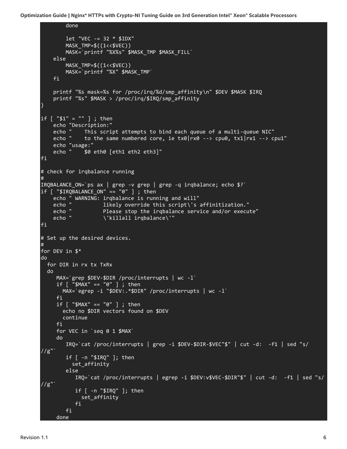```
done
         let "VEC -= 32 * $IDX"
        MASK_TMP=$((1<<$VEC))
        MASK=`printf "%X%s" $MASK_TMP $MASK_FILL`
    else
        MASK TMP=$((1<<$VEC))
        MASK=`printf "%X" $MASK_TMP`
    fi
    printf "%s mask=%s for /proc/irq/%d/smp_affinity\n" $DEV $MASK $IRQ
    printf "%s" $MASK > /proc/irq/$IRQ/smp_affinity
}
if [ "$1" = "" ] ; then
    echo "Description:"<br>ech<u>o " This scri</u>
               This script attempts to bind each queue of a multi-queue NIC"
    echo " to the same numbered core, ie tx0|x0 - -\rangle cpu0, tx1|x1 - -\rangle cpu1"
    echo "usage:"<br>echo <u>"</u> $0
              $0 eth0 [eth1 eth2 eth3]"
fi
# check for irqbalance running
#
IRQBALANCE ON=`ps ax | grep -v grep | grep -q irqbalance; echo $?`
if [ "SIRQBALANCEON" == "0" ] ; thenecho " WARNING: irqbalance is running and will"
    echo " likely override this script\'s affinitization."<br>echo " Please s<u>top the irgbalance service and/or execu</u>
    echo " Please stop the irqbalance service and/or execute"
                     \'killall irqbalance\'"
fi
# Set up the desired devices.
#
for DEV in $*
do
  for DIR in rx tx TxRx
  do
     MAX=`grep $DEV-$DIR /proc/interrupts | wc -l`
     if \overline{[} "$MAX" == "0" ] ; then
       MAX=`egrep -i "$DEV:.*$DIR" /proc/interrupts | wc -l`
     fi
     if [ "$MAX" == "0" ] ; then
       echo no $DIR vectors found on $DEV
       continue
     fi
     for VEC in `seq 0 1 $MAX`
     do
        IRQ='cat /proc/interrupts | grep -i $DEV-$DIR-$VEC" $" | cut -d: -f1 | sed "s///g"if [ -n "$IRQ" ]; then
           set_affinity
         else
            IRQ=`cat /proc/interrupts | egrep -i $DEV:v$VEC-$DIR"$" | cut -d: -f1 | sed "s/ 
//g"if [ -n "$IRQ" ]; then
              set_affinity
            fi
         fi
     done
```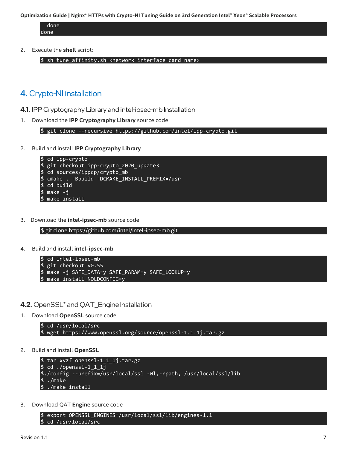done done

2. Execute the **shell** script:

\$ sh tune\_affinity.sh <network interface card name>

## <span id="page-6-0"></span>4. Crypto-NI installation

- <span id="page-6-1"></span>4.1. IPP Cryptography Library and intel-ipsec-mb Installation
- 1. Download the **IPP Cryptography Library** source code

\$ git clone --recursive [https://github.com/intel/ipp-crypto.](https://github.com/intel/ipp-crypto)git

2. Build and install **IPP Cryptography Library**

```
$ cd ipp-crypto
$ git checkout ipp-crypto_2020_update3
$ cd sources/ippcp/crypto_mb
$ cmake . -Bbuild -DCMAKE_INSTALL_PREFIX=/usr
$ cd build
$ make -j
$ make install
```
3. Download the **intel-ipsec-mb** source code

```
$ git clone https://github.com/intel/intel-ipsec-mb.git
```
4. Build and install **intel-ipsec-mb**

```
$ cd intel-ipsec-mb
$ git checkout v0.55
$ make -j SAFE_DATA=y SAFE_PARAM=y SAFE_LOOKUP=y
$ make install NOLDCONFIG=y
```
- <span id="page-6-2"></span>4.2. OpenSSL<sup>\*</sup> and QAT\_Engine Installation
- 1. Download **OpenSSL** source code

```
$ cd /usr/local/src
$ wget https://www.openssl.org/source/openssl-1.1.1j.tar.gz
```
2. Build and install **OpenSSL**

```
$ tar xvzf openssl-1_1_1j.tar.gz 
$ cd ./openssl-1_1_1j
$./config --prefix=/usr/local/ssl -Wl,-rpath, /usr/local/ssl/lib
$. /make$ ./make install
```
3. Download QAT **Engine** source code

```
$ export OPENSSL_ENGINES=/usr/local/ssl/lib/engines-1.1
$ cd /usr/local/src
```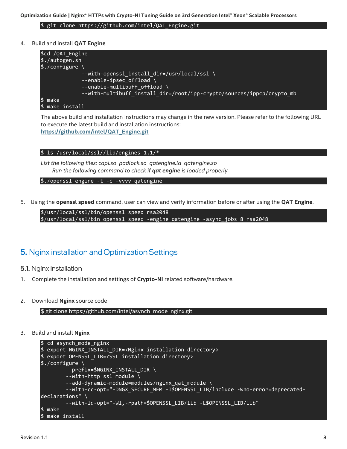\$ git clone https://github.com/intel/QAT\_Engine.git

4. Build and install **QAT Engine**



The above build and installation instructions may change in the new version. Please refer to the following URL to execute the latest build and installation instructions: **[https://github.com/intel/QAT\\_Engine.git](https://github.com/intel/QAT_Engine.git)**

#### \$ ls /usr/local/ssl//lib/engines-1.1/\*

*List the following files: capi.so padlock.so qatengine.la qatengine.so Run the following command to check if qat engine is loaded properly.*

\$./openssl engine -t -c -vvvv qatengine

5. Using the **openssl speed** command, user can view and verify information before or after using the **QAT Engine**.

\$/usr/local/ssl/bin/openssl speed rsa2048 \$/usr/local/ssl/bin openssl speed -engine qatengine -async\_jobs 8 rsa2048

#### <span id="page-7-0"></span>**5.** Nginx installation and Optimization Settings

- <span id="page-7-1"></span>5.1. Nginx Installation
- 1. Complete the installation and settings of **Crypto-NI** related software/hardware.
- 2. Download **Nginx** source code

\$ git clone [https://github.com/intel/asynch\\_mode\\_nginx.git](https://github.com/intel/asynch_mode_nginx.git)

3. Build and install **Nginx**

```
$ cd asynch_mode_nginx
$ export NGINX_INSTALL_DIR=<Nginx installation directory>
$ export OPENSSL_LIB=<SSL installation directory>
$./configure \
         --prefix=$NGINX_INSTALL_DIR \
         --with-http_ssl_module \
        --add-dynamic-module=modules/nginx qat module \
         --with-cc-opt="-DNGX_SECURE_MEM -I$OPENSSL_LIB/include -Wno-error=deprecated-
decIarations" --with-ld-opt="-Wl,-rpath=$OPENSSL_LIB/lib -L$OPENSSL_LIB/lib"
$ make
$ make install
```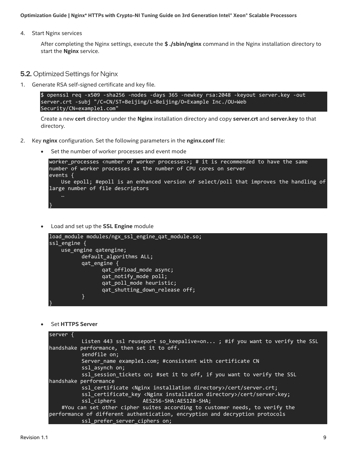4. Start Nginx services

After completing the Nginx settings, execute the **\$ ./sbin/nginx** command in the Nginx installation directory to start the **Nginx** service.

- <span id="page-8-0"></span>**5.2.** Optimized Settings for Nginx
- 1. Generate RSA self-signed certificate and key file.

```
$ openssl req -x509 -sha256 -nodes -days 365 -newkey rsa:2048 -keyout server.key -out 
server.crt -subj "/C=CN/ST=Beijing/L=Beijing/O=Example Inc./OU=Web 
Security/CN=example1.com"
```
Create a new **cert** directory under the **Nginx** installation directory and copy **server.crt** and **server.key** to that directory.

- 2. Key **nginx** configuration. Set the following parameters in the **nginx.conf** file:
	- Set the number of worker processes and event mode

```
worker_processes <number of worker processes>; # it is recommended to have the same 
number of worker processes as the number of CPU cores on server
events {
    Use epoll; #epoll is an enhanced version of select/poll that improves the handling of 
large number of file descriptors
}
```
• Load and set up the **SSL Engine** module

```
load_module modules/ngx_ssl_engine_qat_module.so;
ssl_engine {
    use_engine qatengine;
          default algorithms ALL;
          qat_engine {
                 qat_offload_mode async;
                 qat notify mode poll;
                 qat poll mode heuristic;
                 qat_shutting_down_release off;
          }
}
```
• Set **HTTPS Server**

```
server {
          Listen 443 ssl reuseport so_keepalive=on... ; #if you want to verify the SSL 
handshake performance, then set it to off.
          sendfile on;
          Server_name example1.com; #consistent with certificate CN 
          ssl asynch on;
          ssl_session_tickets on; #set it to off, if you want to verify the SSL 
handshake performance
          ssl_certificate <Nginx installation directory>/cert/server.crt;
          ssl_certificate_key <Nginx installation directory>/cert/server.key;
          ssl ciphers AES256-SHA:AES128-SHA;
     #You can set other cipher suites according to customer needs, to verify the 
performance of different authentication, encryption and decryption protocols
          ssl_prefer_server_ciphers on;
```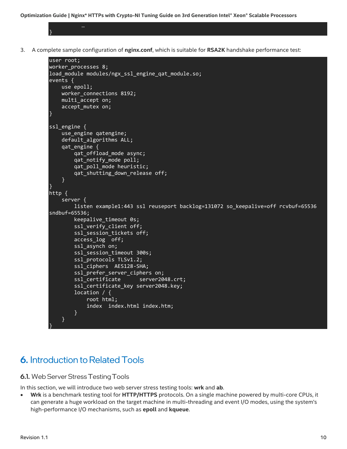… }

3. A complete sample configuration of **nginx.conf**, which is suitable for **RSA2K** handshake performance test:

```
user root;
worker processes 8;
load module modules/ngx ssl engine qat module.so;
events {
     use epoll;
     worker_connections 8192;
     multi_accept on;
    accept mutex on;
}
ssl engine {
     use_engine qatengine;
     default_algorithms ALL;
     qat_engine {
         qat_offload_mode async;
        qat notify mode poll;
         qat_poll_mode heuristic;
         qat_shutting_down_release off;
     }
}
http {
     server {
         listen example1:443 ssl reuseport backlog=131072 so_keepalive=off rcvbuf=65536 
sndbuf=65536;
         keepalive_timeout 0s;
         ssl_verify_client off;
         ssl_session_tickets off;
         access_log off;
         ssl_asynch on;
         ssl_session_timeout 300s;
        ssl protocols TLSv1.2;
         ssl_ciphers AES128-SHA;
         ssl_prefer_server_ciphers on;
        ssl certificate server2048.crt;
         ssl_certificate_key server2048.key;
         location / {
             root html;
             index index.html index.htm;
 }
     }
}
```
## <span id="page-9-0"></span>**6.** Introduction to Related Tools

#### <span id="page-9-1"></span>**6.1.** Web Server Stress Testing Tools

In this section, we will introduce two web server stress testing tools: **wrk** and **ab**.

• **Wrk** is a benchmark testing tool for **HTTP/HTTPS** protocols. On a single machine powered by multi-core CPUs, it can generate a huge workload on the target machine in multi-threading and event I/O modes, using the system's high-performance I/O mechanisms, such as **epoll** and **kqueue**.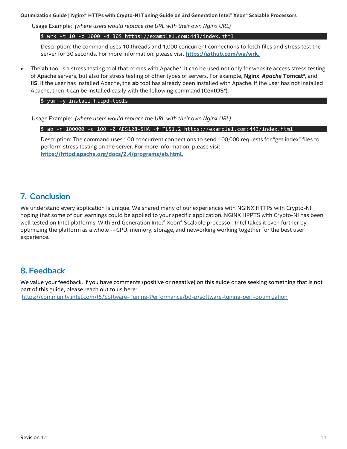Usage Example: *(where users would replace the URL with their own Nginx URL)*

\$ wrk -t 10 -c 1000 -d 30S https://example1.com:443/index.html

Description: the command uses 10 threads and 1,000 concurrent connections to fetch files and stress test the server for 30 seconds. For more information, please visit **<https://github.com/wg/wrk>**.

• The **ab** tool is a stress testing tool that comes with Apache\*. It can be used not only for website access stress testing of Apache servers, but also for stress testing of other types of servers. For example, **Nginx**, *Apache* **Tomcat***\*,* and **IIS**. If the user has installed Apache, the **ab** tool has already been installed with Apache. If the user has not installed Apache, then it can be installed easily with the following command (**CentOS\***):

\$ yum -y install httpd-tools

Usage Example: *(where users would replace the URL with their own Nginx URL)*

\$ ab -n 100000 -c 100 -Z AES128-SHA -f TLS1.2 [https://example1.com:443/index.html](https://example1.com/index.html)

Description: The command uses 100 concurrent connections to send 100,000 requests for "get index" files to perform stress testing on the server. For more information, please visit **<https://httpd.apache.org/docs/2.4/programs/ab.html>***.*

## <span id="page-10-0"></span>7. Conclusion

We understand every application is unique. We shared many of our experiences with NGINX HTTPs with Crypto-NI hoping that some of our learnings could be applied to your specific application. NGINX HPPTS with Crypto-NI has been well tested on Intel platforms. With 3rd Generation Intel® Xeon® Scalable processor, Intel takes it even further by optimizing the platform as a whole -- CPU, memory, storage, and networking working together for the best user experience.

## <span id="page-10-1"></span>8. Feedback

We value your feedback. If you have comments (positive or negative) on this guide or are seeking something that is not part of this guide, please reach out to us [here:](https://community.intel.com/t5/Software-Tuning-Performance/bd-p/software-tuning-perf-optimization)

<https://community.intel.com/t5/Software-Tuning-Performance/bd-p/software-tuning-perf-optimization>